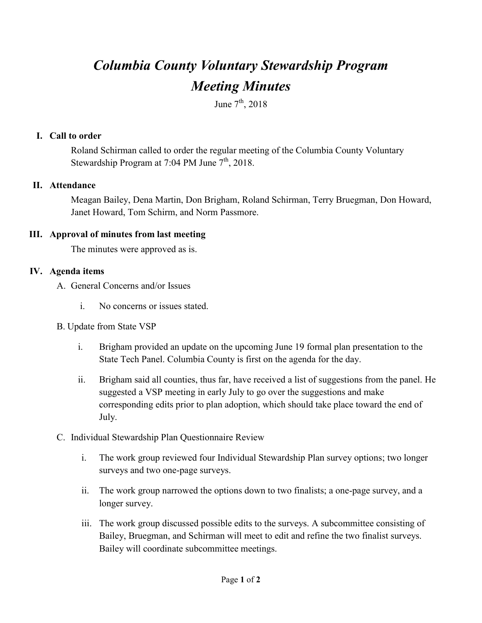# *Columbia County Voluntary Stewardship Program Meeting Minutes*

June  $7<sup>th</sup>$ , 2018

#### **I. Call to order**

Roland Schirman called to order the regular meeting of the Columbia County Voluntary Stewardship Program at  $7:04$  PM June  $7<sup>th</sup>$ , 2018.

### **II. Attendance**

Meagan Bailey, Dena Martin, Don Brigham, Roland Schirman, Terry Bruegman, Don Howard, Janet Howard, Tom Schirm, and Norm Passmore.

### **III. Approval of minutes from last meeting**

The minutes were approved as is.

## **IV. Agenda items**

- A. General Concerns and/or Issues
	- i. No concerns or issues stated.
- B. Update from State VSP
	- i. Brigham provided an update on the upcoming June 19 formal plan presentation to the State Tech Panel. Columbia County is first on the agenda for the day.
	- ii. Brigham said all counties, thus far, have received a list of suggestions from the panel. He suggested a VSP meeting in early July to go over the suggestions and make corresponding edits prior to plan adoption, which should take place toward the end of July.
- C. Individual Stewardship Plan Questionnaire Review
	- i. The work group reviewed four Individual Stewardship Plan survey options; two longer surveys and two one-page surveys.
	- ii. The work group narrowed the options down to two finalists; a one-page survey, and a longer survey.
	- iii. The work group discussed possible edits to the surveys. A subcommittee consisting of Bailey, Bruegman, and Schirman will meet to edit and refine the two finalist surveys. Bailey will coordinate subcommittee meetings.